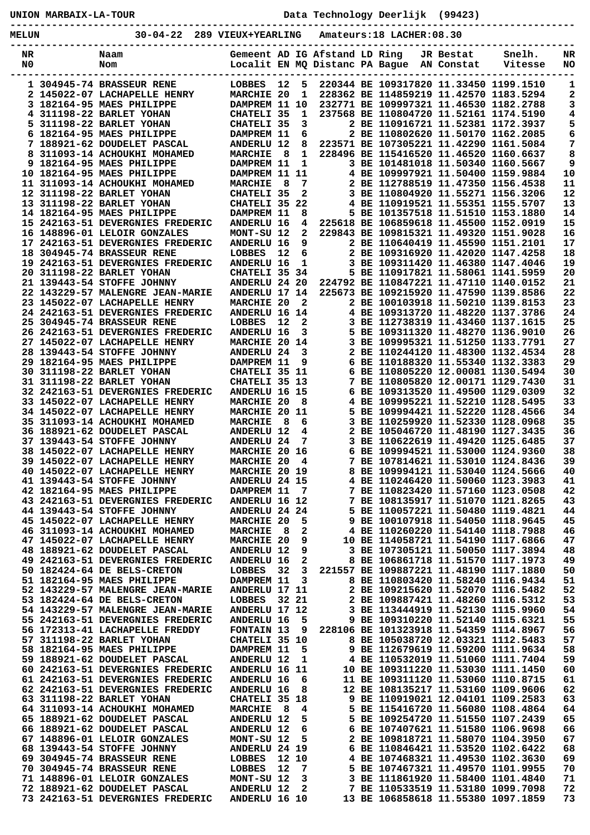**UNION MARBAIX-LA-TOUR Data Technology Deerlijk (99423) ----------------------------------------------------------------------------------------------- MELUN 30-04-22 289 VIEUX+YEARLING Amateurs:18 LACHER:08.30**

| METOM    | -04-44<br>209                                                    | ATEOY+IEUKPING                  |     |                   |                                                                 | Amateurs:10 LACHER:00.30                                                    |                         |                   |          |
|----------|------------------------------------------------------------------|---------------------------------|-----|-------------------|-----------------------------------------------------------------|-----------------------------------------------------------------------------|-------------------------|-------------------|----------|
| NR<br>N0 | Naam<br>Nom                                                      |                                 |     |                   | Gemeent AD IG Afstand LD Ring<br>Localit EN MQ Distanc PA Bague |                                                                             | JR Bestat<br>AN Constat | Snelh.<br>Vitesse | NR<br>NO |
|          | 1 304945-74 BRASSEUR RENE                                        | LOBBES                          | 12  | 5                 |                                                                 | 220344 BE 109317820 11.33450 1199.1510                                      |                         |                   | 1        |
|          | 2 145022-07 LACHAPELLE HENRY                                     | <b>MARCHIE 20</b>               |     | 1                 |                                                                 | 228362 BE 114859219 11.42570 1183.5294                                      |                         |                   | 2        |
|          | 3 182164-95 MAES PHILIPPE                                        | DAMPREM 11 10                   |     |                   |                                                                 | 232771 BE 109997321 11.46530 1182.2788                                      |                         |                   | 3        |
|          | 4 311198-22 BARLET YOHAN                                         | CHATELI 35                      |     | 1                 |                                                                 | 237568 BE 110804720 11.52161 1174.5190                                      |                         |                   | 4        |
|          | 5 311198-22 BARLET YOHAN                                         | CHATELI 35                      |     | 3                 |                                                                 | 2 BE 110916721 11.52381 1172.3937                                           |                         |                   | 5        |
|          | 6 182164-95 MAES PHILIPPE                                        | DAMPREM 11                      |     | 6                 |                                                                 | 2 BE 110802620 11.50170 1162.2085                                           |                         |                   | 6        |
|          | 7 188921-62 DOUDELET PASCAL                                      | ANDERLU 12                      |     | 8                 |                                                                 | 223571 BE 107305221 11.42290 1161.5084                                      |                         |                   | 7        |
| 8        | 311093-14 ACHOUKHI MOHAMED                                       | <b>MARCHIE</b>                  | 8   | 1                 |                                                                 | 228496 BE 115416520 11.46520 1160.6637                                      |                         |                   | 8        |
| 9        | 182164-95 MAES PHILIPPE                                          | DAMPREM 11                      |     | 1                 |                                                                 | 3 BE 101481018 11.50340 1160.5667                                           |                         |                   | 9        |
|          | 10 182164-95 MAES PHILIPPE                                       | DAMPREM 11                      |     | 11                |                                                                 | 4 BE 109997921 11.50400 1159.9884                                           |                         |                   | 10       |
|          | 11 311093-14 ACHOUKHI MOHAMED                                    | <b>MARCHIE</b>                  | -8  | 7                 |                                                                 | 2 BE 112788519 11.47350 1156.4538                                           |                         |                   | 11       |
|          | 12 311198-22 BARLET YOHAN                                        | CHATELI 35                      |     | 2                 |                                                                 | 3 BE 110804920 11.55271 1156.3206                                           |                         |                   | 12       |
|          | 13 311198-22 BARLET YOHAN                                        | CHATELI 35                      |     | 22                |                                                                 | 4 BE 110919521 11.55351 1155.5707                                           |                         |                   | 13       |
|          | 14 182164-95 MAES PHILIPPE                                       | DAMPREM 11                      |     | 8<br>4            |                                                                 | 5 BE 101357518 11.51510 1153.1880<br>225618 BE 106859618 11.45500 1152.0919 |                         |                   | 14<br>15 |
|          | 15 242163-51 DEVERGNIES FREDERIC<br>16 148896-01 LELOIR GONZALES | <b>ANDERLU 16</b><br>MONT-SU 12 |     | $\mathbf{2}$      |                                                                 | 229843 BE 109815321 11.49320 1151.9028                                      |                         |                   | 16       |
|          | 17 242163-51 DEVERGNIES FREDERIC                                 | <b>ANDERLU 16</b>               |     | 9                 |                                                                 | 2 BE 110640419 11.45590 1151.2101                                           |                         |                   | 17       |
|          | 18 304945-74 BRASSEUR RENE                                       | LOBBES                          | 12  | 6                 |                                                                 | 2 BE 109316920 11.42020 1147.4258                                           |                         |                   | 18       |
|          | 19 242163-51 DEVERGNIES FREDERIC                                 | ANDERLU 16                      |     | 1                 |                                                                 | 3 BE 109311420 11.46380 1147.4046                                           |                         |                   | 19       |
|          | 20 311198-22 BARLET YOHAN                                        | CHATELI 35 34                   |     |                   |                                                                 | 5 BE 110917821 11.58061 1141.5959                                           |                         |                   | 20       |
|          | 21 139443-54 STOFFE JOHNNY                                       | ANDERLU 24 20                   |     |                   |                                                                 | 224792 BE 110847221 11.47110 1140.0152                                      |                         |                   | 21       |
|          | 22 143229-57 MALENGRE JEAN-MARIE                                 | ANDERLU 17 14                   |     |                   |                                                                 | 225673 BE 109215920 11.47590 1139.8586                                      |                         |                   | 22       |
|          | 23 145022-07 LACHAPELLE HENRY                                    | <b>MARCHIE 20</b>               |     | 2                 |                                                                 | 2 BE 100103918 11.50210 1139.8153                                           |                         |                   | 23       |
|          | 24 242163-51 DEVERGNIES FREDERIC                                 | ANDERLU 16 14                   |     |                   |                                                                 | 4 BE 109313720 11.48220 1137.3786                                           |                         |                   | 24       |
|          | 25 304945-74 BRASSEUR RENE                                       | <b>LOBBES</b>                   | 12  | 2                 |                                                                 | 3 BE 112738319 11.43460 1137.1615                                           |                         |                   | 25       |
|          | 26 242163-51 DEVERGNIES FREDERIC                                 | <b>ANDERLU 16</b>               |     | 3                 |                                                                 | 5 BE 109311320 11.48270 1136.9010                                           |                         |                   | 26       |
|          | 27 145022-07 LACHAPELLE HENRY                                    | MARCHIE 20 14                   |     |                   |                                                                 | 3 BE 109995321 11.51250 1133.7791                                           |                         |                   | 27       |
|          | 28 139443-54 STOFFE JOHNNY                                       | <b>ANDERLU 24</b>               |     | 3                 |                                                                 | 2 BE 110244120 11.48300 1132.4534                                           |                         |                   | 28       |
|          | 29 182164-95 MAES PHILIPPE                                       | DAMPREM 11                      |     | 9                 | 6                                                               | BE 110188320 11.55340 1132.3383                                             |                         |                   | 29       |
|          | 30 311198-22 BARLET YOHAN                                        | CHATELI 35 11                   |     |                   | 6                                                               | BE 110805220 12.00081 1130.5494                                             |                         |                   | 30       |
|          | 31 311198-22 BARLET YOHAN                                        | CHATELI 35 13                   |     |                   |                                                                 | 7 BE 110805820 12.00171 1129.7430                                           |                         |                   | 31       |
|          | 32 242163-51 DEVERGNIES FREDERIC                                 | ANDERLU 16 15                   |     |                   | 6                                                               | BE 109313520 11.49500 1129.0309                                             |                         |                   | 32       |
|          | 33 145022-07 LACHAPELLE HENRY                                    | <b>MARCHIE 20</b>               |     | 8                 | 4                                                               | BE 109995221 11.52210 1128.5495                                             |                         |                   | 33       |
|          | 34 145022-07 LACHAPELLE HENRY                                    | <b>MARCHIE 20</b>               |     | 11                | 5.                                                              | BE 109994421 11.52220 1128.4566                                             |                         |                   | 34       |
|          | 35 311093-14 ACHOUKHI MOHAMED<br>36 188921-62 DOUDELET PASCAL    | <b>MARCHIE</b><br>ANDERLU 12    | 8   | 6                 | 3                                                               | BE 110259920 11.52330 1128.0968<br>BE 105046720 11.48190 1127.3435          |                         |                   | 35<br>36 |
|          | 37 139443-54 STOFFE JOHNNY                                       | ANDERLU 24                      |     | 4<br>7            | 2                                                               | 3 BE 110622619 11.49420 1125.6485                                           |                         |                   | 37       |
|          | 38 145022-07 LACHAPELLE HENRY                                    | MARCHIE 20 16                   |     |                   | 6                                                               | BE 109994521 11.53000 1124.9360                                             |                         |                   | 38       |
|          | 39 145022-07 LACHAPELLE HENRY                                    | MARCHIE 20                      |     | 4                 |                                                                 | 7 BE 107814621 11.53010 1124.8436                                           |                         |                   | 39       |
|          | 40 145022-07 LACHAPELLE HENRY                                    | MARCHIE 20 19                   |     |                   | 8                                                               | BE 109994121 11.53040 1124.5666                                             |                         |                   | 40       |
|          | 41 139443-54 STOFFE JOHNNY                                       | ANDERLU 24 15                   |     |                   |                                                                 | 4 BE 110246420 11.50060 1123.3983                                           |                         |                   | 41       |
|          | 42 182164-95 MAES PHILIPPE                                       | DAMPREM 11                      |     | 7                 |                                                                 | 7 BE 110823420 11.57160 1123.0508                                           |                         |                   | 42       |
|          | 43 242163-51 DEVERGNIES FREDERIC                                 | ANDERLU 16 12                   |     |                   |                                                                 | 7 BE 108135917 11.51070 1121.8265                                           |                         |                   | 43       |
|          | 44 139443-54 STOFFE JOHNNY                                       | ANDERLU 24 24                   |     |                   |                                                                 | 5 BE 110057221 11.50480 1119.4821                                           |                         |                   | 44       |
|          | 45 145022-07 LACHAPELLE HENRY                                    | MARCHIE 20                      |     | 5                 |                                                                 | 9 BE 100107918 11.54050 1118.9645                                           |                         |                   | 45       |
|          | 46 311093-14 ACHOUKHI MOHAMED                                    | <b>MARCHIE</b>                  | - 8 | 2                 |                                                                 | 4 BE 110260220 11.54140 1118.7988                                           |                         |                   | 46       |
|          | 47 145022-07 LACHAPELLE HENRY                                    | <b>MARCHIE 20</b>               |     | 9                 |                                                                 | 10 BE 114058721 11.54190 1117.6866                                          |                         |                   | 47       |
|          | 48 188921-62 DOUDELET PASCAL                                     | <b>ANDERLU 12</b>               |     | 9                 |                                                                 | 3 BE 107305121 11.50050 1117.3894                                           |                         |                   | 48       |
|          | 49 242163-51 DEVERGNIES FREDERIC                                 | <b>ANDERLU 16</b>               |     | 2                 |                                                                 | 8 BE 106861718 11.51570 1117.1973                                           |                         |                   | 49       |
|          | 50 182424-64 DE BELS-CRETON                                      | LOBBES                          | 32  | 3                 |                                                                 | 221557 BE 109887221 11.48190 1117.1880                                      |                         |                   | 50       |
|          | 51 182164-95 MAES PHILIPPE                                       | DAMPREM 11                      |     | 3                 |                                                                 | 8 BE 110803420 11.58240 1116.9434                                           |                         |                   | 51       |
|          | 52 143229-57 MALENGRE JEAN-MARIE                                 | ANDERLU 17 11                   |     |                   |                                                                 | 2 BE 109215620 11.52070 1116.5482<br>2 BE 109887421 11.48260 1116.5312      |                         |                   | 52       |
|          | 53 182424-64 DE BELS-CRETON<br>54 143229-57 MALENGRE JEAN-MARIE  | <b>LOBBES</b><br>ANDERLU 17 12  |     | 32 21             |                                                                 | 3 BE 113444919 11.52130 1115.9960                                           |                         |                   | 53<br>54 |
|          | 55 242163-51 DEVERGNIES FREDERIC                                 | <b>ANDERLU 16</b>               |     | 5                 |                                                                 | 9 BE 109310220 11.52140 1115.6321                                           |                         |                   | 55       |
|          | 56 172313-41 LACHAPELLE FREDDY                                   | <b>FONTAIN 13</b>               |     | 9                 |                                                                 | 228106 BE 101323918 11.54359 1114.8967                                      |                         |                   | 56       |
|          | 57 311198-22 BARLET YOHAN                                        | CHATELI 35 10                   |     |                   |                                                                 | 8 BE 105038720 12.03321 1112.5483                                           |                         |                   | 57       |
|          | 58 182164-95 MAES PHILIPPE                                       | DAMPREM 11                      |     | 5                 |                                                                 | 9 BE 112679619 11.59200 1111.9634                                           |                         |                   | 58       |
|          | 59 188921-62 DOUDELET PASCAL                                     | <b>ANDERLU 12</b>               |     | 1                 |                                                                 | 4 BE 110532019 11.51060 1111.7404                                           |                         |                   | 59       |
|          | 60 242163-51 DEVERGNIES FREDERIC                                 | ANDERLU 16 11                   |     |                   |                                                                 | 10 BE 109311220 11.53030 1111.1450                                          |                         |                   | 60       |
|          | 61 242163-51 DEVERGNIES FREDERIC                                 | <b>ANDERLU 16</b>               |     | 6                 |                                                                 | 11 BE 109311120 11.53060 1110.8715                                          |                         |                   | 61       |
|          | 62 242163-51 DEVERGNIES FREDERIC                                 | <b>ANDERLU 16</b>               |     | 8                 |                                                                 | 12 BE 108135217 11.53160 1109.9606                                          |                         |                   | 62       |
|          | 63 311198-22 BARLET YOHAN                                        | CHATELI 35 18                   |     |                   |                                                                 | 9 BE 110919021 12.04101 1109.2583                                           |                         |                   | 63       |
|          | 64 311093-14 ACHOUKHI MOHAMED                                    | <b>MARCHIE</b>                  | - 8 | 4                 |                                                                 | 5 BE 115416720 11.56080 1108.4864                                           |                         |                   | 64       |
|          | 65 188921-62 DOUDELET PASCAL                                     | <b>ANDERLU 12</b>               |     | 5                 |                                                                 | 5 BE 109254720 11.51550 1107.2439                                           |                         |                   | 65       |
|          | 66 188921-62 DOUDELET PASCAL                                     | ANDERLU 12                      |     | 6                 |                                                                 | 6 BE 107407621 11.51580 1106.9698                                           |                         |                   | 66       |
|          | 67 148896-01 LELOIR GONZALES                                     | MONT-SU 12                      |     | 5                 |                                                                 | 2 BE 109818721 11.58070 1104.3950                                           |                         |                   | 67       |
|          | 68 139443-54 STOFFE JOHNNY                                       | ANDERLU 24 19                   |     |                   |                                                                 | 6 BE 110846421 11.53520 1102.6422                                           |                         |                   | 68       |
|          | 69 304945-74 BRASSEUR RENE                                       | LOBBES                          |     | 12 10             |                                                                 | 4 BE 107468321 11.49530 1102.3630                                           |                         |                   | 69       |
|          | 70 304945-74 BRASSEUR RENE<br>71 148896-01 LELOIR GONZALES       | LOBBES                          | 12  | 7                 |                                                                 | 5 BE 107467321 11.49570 1101.9955<br>3 BE 111861920 11.58400 1101.4840      |                         |                   | 70<br>71 |
|          | 72 188921-62 DOUDELET PASCAL                                     | MONT-SU 12<br><b>ANDERLU 12</b> |     | 3<br>$\mathbf{2}$ |                                                                 | 7 BE 110533519 11.53180 1099.7098                                           |                         |                   | 72       |
|          | 73 242163-51 DEVERGNIES FREDERIC                                 | ANDERLU 16 10                   |     |                   |                                                                 | 13 BE 106858618 11.55380 1097.1859                                          |                         |                   | 73       |
|          |                                                                  |                                 |     |                   |                                                                 |                                                                             |                         |                   |          |